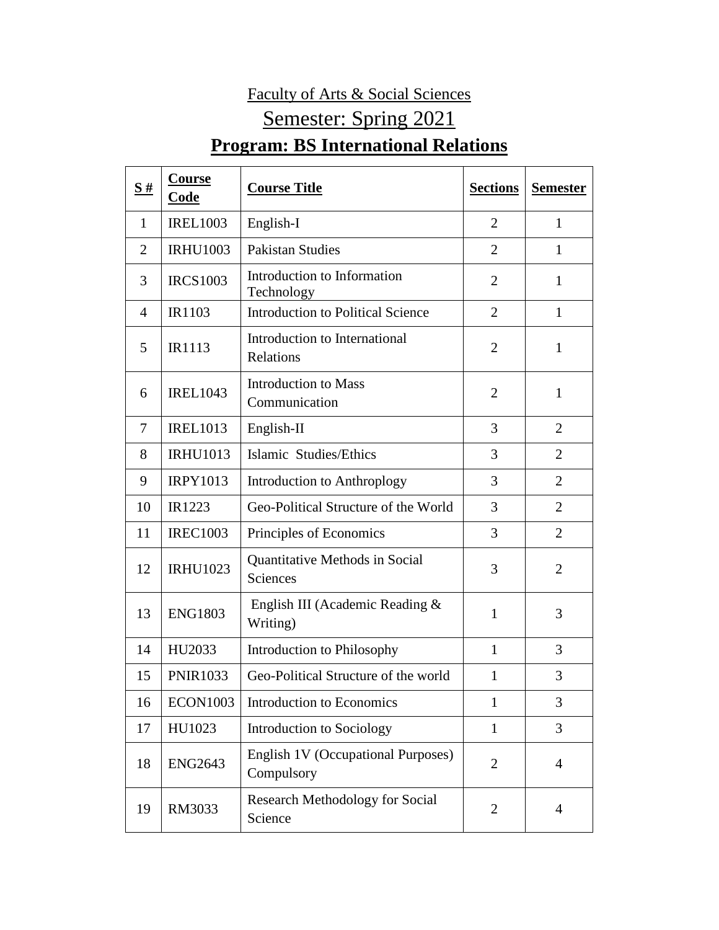## Faculty of Arts & Social Sciences Semester: Spring 2021 **Program: BS International Relations**

| S#             | <b>Course</b><br>Code | <b>Course Title</b>                               | <b>Sections</b> | <b>Semester</b> |
|----------------|-----------------------|---------------------------------------------------|-----------------|-----------------|
| $\mathbf{1}$   | <b>IREL1003</b>       | English-I                                         | $\overline{2}$  | 1               |
| $\overline{2}$ | <b>IRHU1003</b>       | <b>Pakistan Studies</b>                           | $\overline{2}$  | 1               |
| 3              | <b>IRCS1003</b>       | Introduction to Information<br>Technology         | $\overline{2}$  | $\mathbf{1}$    |
| $\overline{A}$ | IR1103                | <b>Introduction to Political Science</b>          | $\overline{2}$  | $\mathbf{1}$    |
| 5              | <b>IR1113</b>         | Introduction to International<br>Relations        | $\overline{2}$  | $\mathbf{1}$    |
| 6              | <b>IREL1043</b>       | <b>Introduction to Mass</b><br>Communication      | $\overline{2}$  | $\mathbf{1}$    |
| $\overline{7}$ | <b>IREL1013</b>       | English-II                                        | 3               | $\overline{2}$  |
| 8              | <b>IRHU1013</b>       | Islamic Studies/Ethics                            | 3               | $\overline{2}$  |
| 9              | <b>IRPY1013</b>       | Introduction to Anthroplogy                       | 3               | $\overline{2}$  |
| 10             | IR1223                | Geo-Political Structure of the World              | 3               | $\overline{2}$  |
| 11             | <b>IREC1003</b>       | Principles of Economics                           | 3               | $\overline{2}$  |
| 12             | <b>IRHU1023</b>       | Quantitative Methods in Social<br>Sciences        | 3               | $\overline{2}$  |
| 13             | <b>ENG1803</b>        | English III (Academic Reading &<br>Writing)       | 1               | 3               |
| 14             | HU2033                | Introduction to Philosophy                        | 1               | 3               |
| 15             | <b>PNIR1033</b>       | Geo-Political Structure of the world              | $\mathbf{1}$    | 3               |
| 16             | <b>ECON1003</b>       | <b>Introduction to Economics</b>                  | $\mathbf{1}$    | 3               |
| 17             | HU1023                | Introduction to Sociology                         | $\mathbf{1}$    | 3               |
| 18             | <b>ENG2643</b>        | English 1V (Occupational Purposes)<br>Compulsory  | $\overline{2}$  | $\overline{4}$  |
| 19             | RM3033                | <b>Research Methodology for Social</b><br>Science | $\mathfrak{2}$  | $\overline{4}$  |